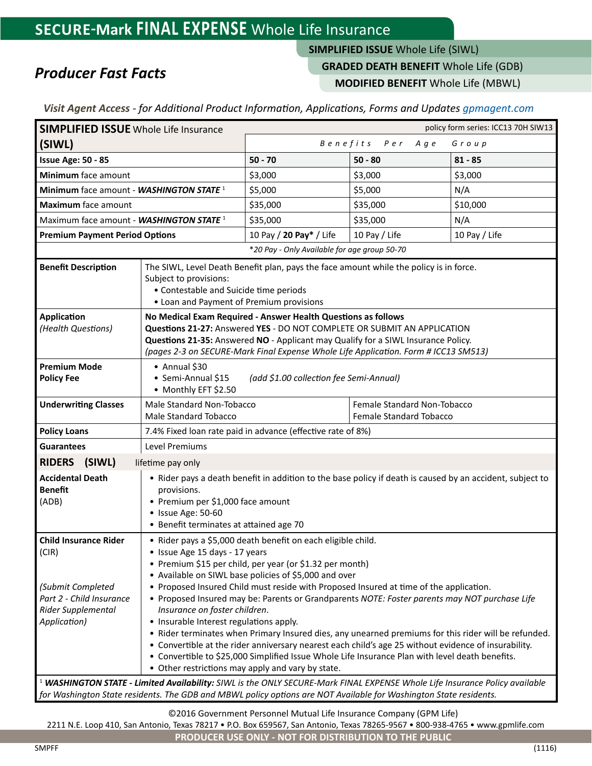## **SECURE-Mark FINAL EXPENSE** Whole Life Insurance

**SIMPLIFIED ISSUE** Whole Life (SIWL)

## *Producer Fast Facts*

## **GRADED DEATH BENEFIT** Whole Life (GDB)

**MODIFIED BENEFIT** Whole Life (MBWL)

| policy form series: ICC13 70H SIW13<br><b>SIMPLIFIED ISSUE</b> Whole Life Insurance                                                                                                                                                                         |                                                                                                                                                                                                                                                                                                                                                                                                                                                                                                                                                                                                                                                                                                                                                                                                                                                                    |                                                |                                                               |               |  |  |
|-------------------------------------------------------------------------------------------------------------------------------------------------------------------------------------------------------------------------------------------------------------|--------------------------------------------------------------------------------------------------------------------------------------------------------------------------------------------------------------------------------------------------------------------------------------------------------------------------------------------------------------------------------------------------------------------------------------------------------------------------------------------------------------------------------------------------------------------------------------------------------------------------------------------------------------------------------------------------------------------------------------------------------------------------------------------------------------------------------------------------------------------|------------------------------------------------|---------------------------------------------------------------|---------------|--|--|
| (SIWL)                                                                                                                                                                                                                                                      |                                                                                                                                                                                                                                                                                                                                                                                                                                                                                                                                                                                                                                                                                                                                                                                                                                                                    | $B$ e $n$ e $f$ i t s<br>A g e<br>Group<br>Per |                                                               |               |  |  |
| <b>Issue Age: 50 - 85</b>                                                                                                                                                                                                                                   |                                                                                                                                                                                                                                                                                                                                                                                                                                                                                                                                                                                                                                                                                                                                                                                                                                                                    | $50 - 70$                                      | $50 - 80$                                                     | $81 - 85$     |  |  |
| Minimum face amount                                                                                                                                                                                                                                         |                                                                                                                                                                                                                                                                                                                                                                                                                                                                                                                                                                                                                                                                                                                                                                                                                                                                    | \$3,000                                        | \$3,000                                                       | \$3,000       |  |  |
| Minimum face amount - WASHINGTON STATE <sup>1</sup>                                                                                                                                                                                                         |                                                                                                                                                                                                                                                                                                                                                                                                                                                                                                                                                                                                                                                                                                                                                                                                                                                                    | \$5,000                                        | \$5,000                                                       | N/A           |  |  |
| Maximum face amount                                                                                                                                                                                                                                         |                                                                                                                                                                                                                                                                                                                                                                                                                                                                                                                                                                                                                                                                                                                                                                                                                                                                    | \$35,000                                       | \$35,000                                                      | \$10,000      |  |  |
| Maximum face amount - WASHINGTON STATE 1                                                                                                                                                                                                                    |                                                                                                                                                                                                                                                                                                                                                                                                                                                                                                                                                                                                                                                                                                                                                                                                                                                                    | \$35,000                                       | \$35,000                                                      | N/A           |  |  |
| <b>Premium Payment Period Options</b>                                                                                                                                                                                                                       |                                                                                                                                                                                                                                                                                                                                                                                                                                                                                                                                                                                                                                                                                                                                                                                                                                                                    | 10 Pay / 20 Pay* / Life                        | 10 Pay / Life                                                 | 10 Pay / Life |  |  |
|                                                                                                                                                                                                                                                             |                                                                                                                                                                                                                                                                                                                                                                                                                                                                                                                                                                                                                                                                                                                                                                                                                                                                    | *20 Pay - Only Available for age group 50-70   |                                                               |               |  |  |
| <b>Benefit Description</b>                                                                                                                                                                                                                                  | The SIWL, Level Death Benefit plan, pays the face amount while the policy is in force.<br>Subject to provisions:<br>• Contestable and Suicide time periods<br>• Loan and Payment of Premium provisions                                                                                                                                                                                                                                                                                                                                                                                                                                                                                                                                                                                                                                                             |                                                |                                                               |               |  |  |
| <b>Application</b><br>(Health Questions)                                                                                                                                                                                                                    | No Medical Exam Required - Answer Health Questions as follows<br>Questions 21-27: Answered YES - DO NOT COMPLETE OR SUBMIT AN APPLICATION<br>Questions 21-35: Answered NO - Applicant may Qualify for a SIWL Insurance Policy.<br>(pages 2-3 on SECURE-Mark Final Expense Whole Life Application. Form # ICC13 SM513)                                                                                                                                                                                                                                                                                                                                                                                                                                                                                                                                              |                                                |                                                               |               |  |  |
| <b>Premium Mode</b><br><b>Policy Fee</b>                                                                                                                                                                                                                    | • Annual \$30<br>· Semi-Annual \$15<br>(add \$1.00 collection fee Semi-Annual)<br>• Monthly EFT \$2.50                                                                                                                                                                                                                                                                                                                                                                                                                                                                                                                                                                                                                                                                                                                                                             |                                                |                                                               |               |  |  |
| <b>Underwriting Classes</b>                                                                                                                                                                                                                                 | Male Standard Non-Tobacco<br><b>Male Standard Tobacco</b>                                                                                                                                                                                                                                                                                                                                                                                                                                                                                                                                                                                                                                                                                                                                                                                                          |                                                | Female Standard Non-Tobacco<br><b>Female Standard Tobacco</b> |               |  |  |
| <b>Policy Loans</b>                                                                                                                                                                                                                                         | 7.4% Fixed loan rate paid in advance (effective rate of 8%)                                                                                                                                                                                                                                                                                                                                                                                                                                                                                                                                                                                                                                                                                                                                                                                                        |                                                |                                                               |               |  |  |
| <b>Guarantees</b>                                                                                                                                                                                                                                           | Level Premiums                                                                                                                                                                                                                                                                                                                                                                                                                                                                                                                                                                                                                                                                                                                                                                                                                                                     |                                                |                                                               |               |  |  |
| <b>RIDERS</b><br>(SIWL)                                                                                                                                                                                                                                     | lifetime pay only                                                                                                                                                                                                                                                                                                                                                                                                                                                                                                                                                                                                                                                                                                                                                                                                                                                  |                                                |                                                               |               |  |  |
| <b>Accidental Death</b><br><b>Benefit</b><br>(ADB)                                                                                                                                                                                                          | • Rider pays a death benefit in addition to the base policy if death is caused by an accident, subject to<br>provisions.<br>• Premium per \$1,000 face amount<br>· Issue Age: 50-60<br>• Benefit terminates at attained age 70                                                                                                                                                                                                                                                                                                                                                                                                                                                                                                                                                                                                                                     |                                                |                                                               |               |  |  |
| <b>Child Insurance Rider</b><br>(CIR)<br>(Submit Completed<br>Part 2 - Child Insurance<br>Rider Supplemental<br>Application)                                                                                                                                | • Rider pays a \$5,000 death benefit on each eligible child.<br>• Issue Age 15 days - 17 years<br>• Premium \$15 per child, per year (or \$1.32 per month)<br>• Available on SIWL base policies of \$5,000 and over<br>• Proposed Insured Child must reside with Proposed Insured at time of the application.<br>. Proposed Insured may be: Parents or Grandparents NOTE: Foster parents may NOT purchase Life<br>Insurance on foster children.<br>• Insurable Interest regulations apply.<br>. Rider terminates when Primary Insured dies, any unearned premiums for this rider will be refunded.<br>• Convertible at the rider anniversary nearest each child's age 25 without evidence of insurability.<br>• Convertible to \$25,000 Simplified Issue Whole Life Insurance Plan with level death benefits.<br>• Other restrictions may apply and vary by state. |                                                |                                                               |               |  |  |
| <sup>1</sup> WASHINGTON STATE - Limited Availability: SIWL is the ONLY SECURE-Mark FINAL EXPENSE Whole Life Insurance Policy available<br>for Washington State residents. The GDB and MBWL policy options are NOT Available for Washington State residents. |                                                                                                                                                                                                                                                                                                                                                                                                                                                                                                                                                                                                                                                                                                                                                                                                                                                                    |                                                |                                                               |               |  |  |

©2016 Government Personnel Mutual Life Insurance Company (GPM Life)

2211 N.E. Loop 410, San Antonio, Texas 78217 • P.O. Box 659567, San Antonio, Texas 78265-9567 • 800-938-4765 • www.gpmlife.com

**PRODUCER USE ONLY - NOT FOR DISTRIBUTION TO THE PUBLIC**